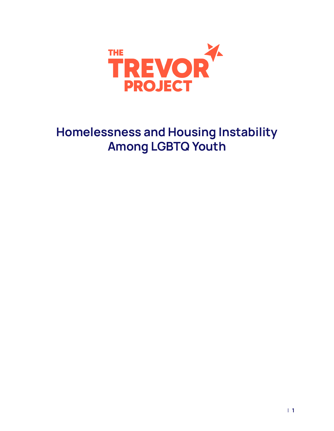

# **Homelessness and Housing Instability Among LGBTQ Youth**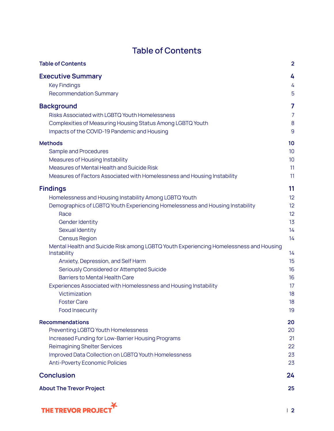<span id="page-1-0"></span>

| <b>Table of Contents</b>                                                                              |                |
|-------------------------------------------------------------------------------------------------------|----------------|
| <b>Table of Contents</b>                                                                              | $\overline{2}$ |
| <b>Executive Summary</b>                                                                              | 4              |
| <b>Key Findings</b>                                                                                   | 4              |
| <b>Recommendation Summary</b>                                                                         | 5              |
| <b>Background</b>                                                                                     | 7              |
| <b>Risks Associated with LGBTQ Youth Homelessness</b>                                                 | 7              |
| Complexities of Measuring Housing Status Among LGBTQ Youth                                            | 8              |
| Impacts of the COVID-19 Pandemic and Housing                                                          | 9              |
| <b>Methods</b>                                                                                        | 10             |
| Sample and Procedures                                                                                 | 10             |
| Measures of Housing Instability                                                                       | 10             |
| Measures of Mental Health and Suicide Risk                                                            | 11             |
| Measures of Factors Associated with Homelessness and Housing Instability                              | 11             |
| <b>Findings</b>                                                                                       | 11             |
| Homelessness and Housing Instability Among LGBTQ Youth                                                | 12             |
| Demographics of LGBTQ Youth Experiencing Homelessness and Housing Instability                         | 12             |
| Race                                                                                                  | 12             |
| Gender Identity                                                                                       | 13             |
| Sexual Identity                                                                                       | 14             |
| <b>Census Region</b>                                                                                  | 14             |
| Mental Health and Suicide Risk among LGBTQ Youth Experiencing Homelessness and Housing<br>Instability | 14             |
| Anxiety, Depression, and Self Harm                                                                    | 15             |
| Seriously Considered or Attempted Suicide                                                             | 16             |
| <b>Barriers to Mental Health Care</b>                                                                 | 16             |
| Experiences Associated with Homelessness and Housing Instability                                      | 17             |
| Victimization                                                                                         | 18             |
| <b>Foster Care</b>                                                                                    | 18             |
| <b>Food Insecurity</b>                                                                                | 19             |
| <b>Recommendations</b>                                                                                | 20             |
| Preventing LGBTQ Youth Homelessness                                                                   | 20             |
| Increased Funding for Low-Barrier Housing Programs                                                    | 21             |
| <b>Reimagining Shelter Services</b>                                                                   | 22             |
| Improved Data Collection on LGBTQ Youth Homelessness                                                  | 23             |
| <b>Anti-Poverty Economic Policies</b>                                                                 | 23             |
| <b>Conclusion</b>                                                                                     | 24             |
| <b>About The Trevor Project</b>                                                                       | 25             |

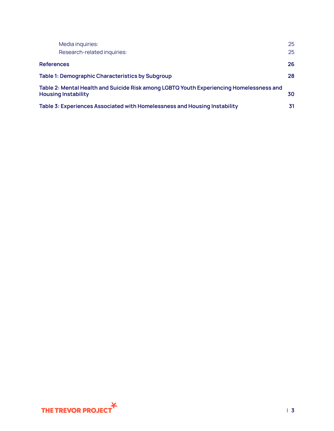| Media inquiries:                                                                                                      | 25 |  |  |
|-----------------------------------------------------------------------------------------------------------------------|----|--|--|
| Research-related inquiries:                                                                                           | 25 |  |  |
| <b>References</b>                                                                                                     | 26 |  |  |
| Table 1: Demographic Characteristics by Subgroup                                                                      | 28 |  |  |
| Table 2: Mental Health and Suicide Risk among LGBTQ Youth Experiencing Homelessness and<br><b>Housing Instability</b> |    |  |  |
| Table 3: Experiences Associated with Homelessness and Housing Instability                                             | 31 |  |  |

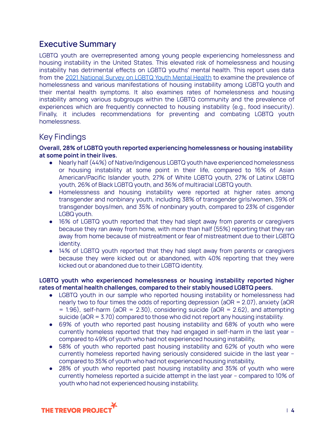## <span id="page-3-0"></span>**Executive Summary**

LGBTQ youth are overrepresented among young people experiencing homelessness and housing instability in the United States. This elevated risk of homelessness and housing instability has detrimental effects on LGBTQ youths' mental health. This report uses data from the 2021 [National](https://www.thetrevorproject.org/survey-2021/?section=Introduction) Survey on LGBTQ Youth Mental Health to examine the prevalence of homelessness and various manifestations of housing instability among LGBTQ youth and their mental health symptoms. It also examines rates of homelessness and housing instability among various subgroups within the LGBTQ community and the prevalence of experiences which are frequently connected to housing instability (e.g., food insecurity). Finally, it includes recommendations for preventing and combating LGBTQ youth homelessness.

### <span id="page-3-1"></span>Key Findings

#### **Overall, 28% of LGBTQ youth reported experiencing homelessness or housing instability at some point in their lives.**

- **●** Nearly half (44%) of Native/Indigenous LGBTQ youth have experienced homelessness or housing instability at some point in their life, compared to 16% of Asian American/Pacific Islander youth, 27% of White LGBTQ youth, 27% of Latinx LGBTQ youth, 26% of Black LGBTQ youth, and 36% of multiracial LGBTQ youth.
- Homelessness and housing instability were reported at higher rates among transgender and nonbinary youth, including 38% of transgender girls/women, 39% of transgender boys/men, and 35% of nonbinary youth, compared to 23% of cisgender LGBQ youth.
- 16% of LGBTQ youth reported that they had slept away from parents or caregivers because they ran away from home, with more than half (55%) reporting that they ran away from home because of mistreatment or fear of mistreatment due to their LGBTQ identity.
- 14% of LGBTQ youth reported that they had slept away from parents or caregivers because they were kicked out or abandoned, with 40% reporting that they were kicked out or abandoned due to their LGBTQ identity.

#### **LGBTQ youth who experienced homelessness or housing instability reported higher rates of mental health challenges, compared to their stably housed LGBTQ peers.**

- LGBTQ youth in our sample who reported housing instability or homelessness had nearly two to four times the odds of reporting depression (aOR = 2.07), anxiety (aOR  $= 1.96$ , self-harm (aOR  $= 2.30$ ), considering suicide (aOR  $= 2.62$ ), and attempting suicide (aOR = 3.70) compared to those who did not report any housing instability.
- 69% of youth who reported past housing instability and 68% of youth who were currently homeless reported that they had engaged in self-harm in the last year – compared to 49% of youth who had not experienced housing instability,
- 58% of youth who reported past housing instability and 62% of youth who were currently homeless reported having seriously considered suicide in the last year – compared to 35% of youth who had not experienced housing instability,
- 28% of youth who reported past housing instability and 35% of youth who were currently homeless reported a suicide attempt in the last year – compared to 10% of youth who had not experienced housing instability,

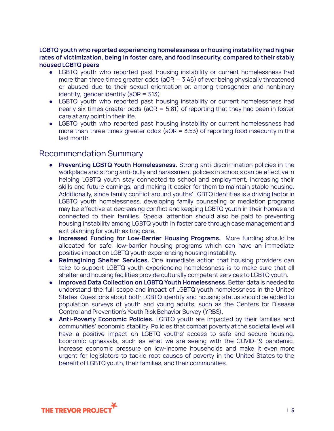**LGBTQ youth who reported experiencing homelessness or housing instability had higher rates of victimization, being in foster care, and food insecurity, compared to their stably housed LGBTQ peers**

- LGBTQ youth who reported past housing instability or current homelessness had more than three times greater odds ( $aOR = 3.46$ ) of ever being physically threatened or abused due to their sexual orientation or, among transgender and nonbinary identity, gender identity (aOR =  $3.13$ ).
- LGBTQ youth who reported past housing instability or current homelessness had nearly six times greater odds ( $aOR = 5.81$ ) of reporting that they had been in foster care at any point in their life.
- LGBTQ youth who reported past housing instability or current homelessness had more than three times greater odds ( $aOR = 3.53$ ) of reporting food insecurity in the last month.

### <span id="page-4-0"></span>Recommendation Summary

- **Preventing LGBTQ Youth Homelessness.** Strong anti-discrimination policies in the workplace and strong anti-bully and harassment policies in schools can be effective in helping LGBTQ youth stay connected to school and employment, increasing their skills and future earnings, and making it easier for them to maintain stable housing. Additionally, since family conflict around youths' LGBTQ identities is a driving factor in LGBTQ youth homelessness, developing family counseling or mediation programs may be effective at decreasing conflict and keeping LGBTQ youth in their homes and connected to their families. Special attention should also be paid to preventing housing instability among LGBTQ youth in foster care through case management and exit planning for youth exiting care.
- **● Increased Funding for Low-Barrier Housing Programs.** More funding should be allocated for safe, low-barrier housing programs which can have an immediate positive impact on LGBTQ youth experiencing housing instability.
- **● Reimagining Shelter Services.** One immediate action that housing providers can take to support LGBTQ youth experiencing homelessness is to make sure that all shelter and housing facilities provide culturally competent services to LGBTQ youth.
- **● Improved Data Collection on LGBTQ Youth Homelessness.** Better data is needed to understand the full scope and impact of LGBTQ youth homelessness in the United States. Questions about both LGBTQ identity and housing status should be added to population surveys of youth and young adults, such as the Centers for Disease Control and Prevention's Youth Risk Behavior Survey (YRBS).
- **● Anti-Poverty Economic Policies.** LGBTQ youth are impacted by their families' and communities' economic stability. Policies that combat poverty at the societal level will have a positive impact on LGBTQ youths' access to safe and secure housing. Economic upheavals, such as what we are seeing with the COVID-19 pandemic, increase economic pressure on low-income households and make it even more urgent for legislators to tackle root causes of poverty in the United States to the benefit of LGBTQ youth, their families, and their communities.

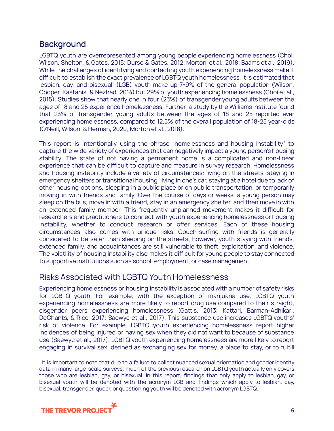## <span id="page-5-0"></span>**Background**

LGBTQ youth are overrepresented among young people experiencing homelessness (Choi, Wilson, Shelton, & Gates, 2015; Durso & Gates, 2012; Morton, et al., 2018; Baams et al., 2019). While the challenges of identifying and contacting youth experiencing homelessness make it difficult to establish the exact prevalence of LGBTQ youth homelessness, it is estimated that lesbian, gay, and bisexual<sup>1</sup> (LGB) youth make up 7-9% of the general population (Wilson, Cooper, Kastanis, & Nezhad, 2014) but 29% of youth experiencing homelessness (Choi et al., 2015). Studies show that nearly one in four (23%) of transgender young adults between the ages of 18 and 25 experience homelessness, Further, a study by the Williams Institute found that 23% of transgender young adults between the ages of 18 and 25 reported ever experiencing homelessness, compared to 12.5% of the overall population of 18-25 year-olds (O'Neill, Wilson, & Herman, 2020; Morton et al., 2018).

This report is intentionally using the phrase "homelessness and housing instability" to capture the wide variety of experiences that can negatively impact a young person's housing stability. The state of not having a permanent home is a complicated and non-linear experience that can be difficult to capture and measure in survey research. Homelessness and housing instability include a variety of circumstances: living on the streets, staying in emergency shelters or transitional housing, living in one's car, staying at a hotel due to lack of other housing options, sleeping in a public place or on public transportation, or temporarily moving in with friends and family. Over the course of days or weeks, a young person may sleep on the bus, move in with a friend, stay in an emergency shelter, and then move in with an extended family member. This frequently unplanned movement makes it difficult for researchers and practitioners to connect with youth experiencing homelessness or housing instability, whether to conduct research or offer services. Each of these housing circumstances also comes with unique risks. Couch-surfing with friends is generally considered to be safer than sleeping on the streets; however, youth staying with friends, extended family, and acquaintances are still vulnerable to theft, exploitation, and violence. The volatility of housing instability also makes it difficult for young people to stay connected to supportive institutions such as school, employment, or case management.

### <span id="page-5-1"></span>Risks Associated with LGBTQ Youth Homelessness

Experiencing homelessness or housing instability is associated with a number of safety risks for LGBTQ youth. For example, with the exception of marijuana use, LGBTQ youth experiencing homelessness are more likely to report drug use compared to their straight, cisgender peers experiencing homelessness (Gattis, 2013; Kattari, Barman-Adhikari, DeChants, & Rice, 2017; Saewyc et al., 2017). This substance use increases LGBTQ youths' risk of violence. For example, LGBTQ youth experiencing homelessness report higher incidences of being injured or having sex when they did not want to because of substance use (Saewyc et al., 2017). LGBTQ youth experiencing homelessness are more likely to report engaging in survival sex, defined as exchanging sex for money, a place to stay, or to fulfill

<sup>&</sup>lt;sup>1</sup> It is important to note that due to a failure to collect nuanced sexual orientation and gender identity data in many large-scale surveys, much of the previous research on LGBTQ youth actually only covers those who are lesbian, gay, or bisexual. In this report, findings that only apply to lesbian, gay, or bisexual youth will be denoted with the acronym LGB and findings which apply to lesbian, gay, bisexual, transgender, queer, or questioning youth will be denoted with acronym LGBTQ.

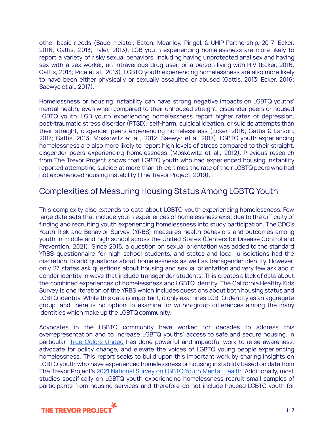other basic needs (Bauermeister, Eaton, Meanley, Pingel, & UHIP Partnership, 2017; Ecker, 2016; Gattis, 2013; Tyler, 2013). LGB youth experiencing homelessness are more likely to report a variety of risky sexual behaviors, including having unprotected anal sex and having sex with a sex worker, an intravenous drug user, or a person living with HIV (Ecker, 2016; Gattis, 2013; Rice et al., 2013). LGBTQ youth experiencing homelessness are also more likely to have been either physically or sexually assaulted or abused (Gattis, 2013; Ecker, 2016; Saewyc et al., 2017).

Homelessness or housing instability can have strong negative impacts on LGBTQ youths' mental health, even when compared to their unhoused straight, cisgender peers or housed LGBTQ youth. LGB youth experiencing homelessness report higher rates of depression, post-traumatic stress disorder (PTSD), self-harm, suicidal ideation, or suicide attempts than their straight, cisgender peers experiencing homelessness (Ecker, 2016; Gattis & Larson, 2017; Gattis, 2013; Moskowitz et al., 2012; Saewyc et al, 2017). LGBTQ youth experiencing homelessness are also more likely to report high levels of stress compared to their straight, cisgender peers experiencing homelessness (Moskowitz et al., 2012). Previous research from The Trevor Project shows that LGBTQ youth who had experienced housing instability reported attempting suicide at more than three times the rate of their LGBTQ peers who had not experienced housing instability (The Trevor Project, 2019).

## <span id="page-6-0"></span>Complexities of Measuring Housing Status Among LGBTQ Youth

This complexity also extends to data about LGBTQ youth experiencing homelessness. Few large data sets that include youth experiences of homelessness exist due to the difficulty of finding and recruiting youth experiencing homelessness into study participation. The CDC's Youth Risk and Behavior Survey (YRBS) measures health behaviors and outcomes among youth in middle and high school across the United States (Centers for Disease Control and Prevention, 2021). Since 2015, a question on sexual orientation was added to the standard YRBS questionnaire for high school students, and states and local jurisdictions had the discretion to add questions about homelessness as well as transgender identity. However, only 27 states ask questions about housing and sexual orientation and very few ask about gender identity in ways that include transgender students. This creates a lack of data about the combined experiences of homelessness and LGBTQ identity. The California Healthy Kids Survey is one iteration of the YRBS which includes questions about both housing status and LGBTQ identity. While this data is important, it only examines LGBTQ identity as an aggregate group, and there is no option to examine for within-group differences among the many identities which make up the LGBTQ community.

Advocates in the LGBTQ community have worked for decades to address this overrepresentation and to increase LGBTQ youths' access to safe and secure housing. In particular, True Colors [United](https://truecolorsunited.org/) has done powerful and impactful work to raise awareness, advocate for policy change, and elevate the voices of LGBTQ young people experiencing homelessness. This report seeks to build upon this important work by sharing insights on LGBTQ youth who have experienced homelessness or housing instability based on data from The Trevor Project's 2021 [National](https://www.thetrevorproject.org/survey-2021/) Survey on LGBTQ Youth Mental Health. Additionally, most studies specifically on LGBTQ youth experiencing homelessness recruit small samples of participants from housing services and therefore do not include housed LGBTQ youth for

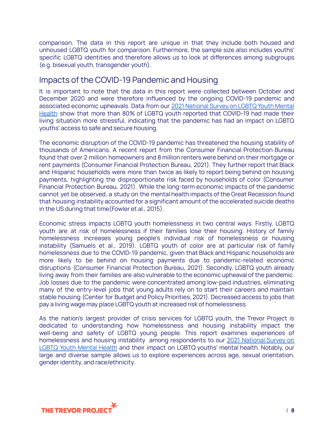comparison. The data in this report are unique in that they include both housed and unhoused LGBTQ youth for comparison. Furthermore, the sample size also includes youths' specific LGBTQ identities and therefore allows us to look at differences among subgroups (e.g. bisexual youth, transgender youth).

### <span id="page-7-0"></span>Impacts of the COVID-19 Pandemic and Housing

It is important to note that the data in this report were collected between October and December 2020 and were therefore influenced by the ongoing COVID-19 pandemic and associated economic upheavals. Data from our 2021 [National](https://www.thetrevorproject.org/survey-2021/) Survey on LGBTQ Youth Mental [Health](https://www.thetrevorproject.org/survey-2021/) show that more than 80% of LGBTQ youth reported that COVID-19 had made their living situation more stressful, indicating that the pandemic has had an impact on LGBTQ youths' access to safe and secure housing.

The economic disruption of the COVID-19 pandemic has threatened the housing stability of thousands of Americans. A recent report from the Consumer Financial Protection Bureau found that over 2 million homeowners and 8 million renters were behind on their mortgage or rent payments (Consumer Financial Protection Bureau, 2021). They further report that Black and Hispanic households were more than twice as likely to report being behind on housing payments, highlighting the disproportionate risk faced by households of color (Consumer Financial Protection Bureau, 2021). While the long-term economic impacts of the pandemic cannot yet be observed, a study on the mental health impacts of the Great Recession found that housing instability accounted for a significant amount of the accelerated suicide deaths in the US during that time(Fowler et al., 2015).

Economic stress impacts LGBTQ youth homelessness in two central ways. Firstly, LGBTQ youth are at risk of homelessness if their families lose their housing. History of family homelessness increases young people's individual risk of homelessness or housing instability (Samuels et al., 2019). LGBTQ youth of color are at particular risk of family homelessness due to the COVID-19 pandemic, given that Black and Hispanic households are more likely to be behind on housing payments due to pandemic-related economic disruptions (Consumer Financial Protection Bureau, 2021). Secondly, LGBTQ youth already living away from their families are also vulnerable to the economic upheaval of the pandemic. Job losses due to the pandemic were concentrated among low-paid industries, eliminating many of the entry-level jobs that young adults rely on to start their careers and maintain stable housing (Center for Budget and Policy Priorities, 2021). Decreased access to jobs that pay a living wage may place LGBTQ youth at increased risk of homelessness.

As the nation's largest provider of crisis services for LGBTQ youth, the Trevor Project is dedicated to understanding how homelessness and housing instability impact the well-being and safety of LGBTQ young people. This report examines experiences of homelessness and housing instability among respondents to our 2021 [National](https://www.thetrevorproject.org/survey-2021/) Survey on LGBTQ Youth [Mental](https://www.thetrevorproject.org/survey-2021/) Health and their impact on LGBTQ youths' mental health. Notably, our large and diverse sample allows us to explore experiences across age, sexual orientation, gender identity, and race/ethnicity.

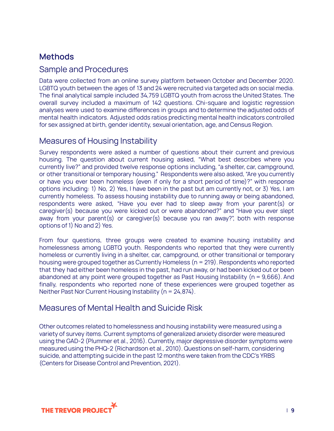## <span id="page-8-0"></span>**Methods**

### <span id="page-8-1"></span>Sample and Procedures

Data were collected from an online survey platform between October and December 2020. LGBTQ youth between the ages of 13 and 24 were recruited via targeted ads on social media. The final analytical sample included 34,759 LGBTQ youth from across the United States. The overall survey included a maximum of 142 questions. Chi-square and logistic regression analyses were used to examine differences in groups and to determine the adjusted odds of mental health indicators. Adjusted odds ratios predicting mental health indicators controlled for sex assigned at birth, gender identity, sexual orientation, age, and Census Region.

## <span id="page-8-2"></span>Measures of Housing Instability

Survey respondents were asked a number of questions about their current and previous housing. The question about current housing asked, "What best describes where you currently live?" and provided twelve response options including, "a shelter, car, campground, or other transitional or temporary housing." Respondents were also asked, "Are you currently or have you ever been homeless (even if only for a short period of time)?" with response options including: 1) No, 2) Yes, I have been in the past but am currently not, or 3) Yes, I am currently homeless. To assess housing instability due to running away or being abandoned, respondents were asked, "Have you ever had to sleep away from your parent(s) or caregiver(s) because you were kicked out or were abandoned?" and "Have you ever slept away from your parent(s) or caregiver(s) because you ran away?", both with response options of 1) No and 2) Yes.

From four questions, three groups were created to examine housing instability and homelessness among LGBTQ youth. Respondents who reported that they were currently homeless or currently living in a shelter, car, campground, or other transitional or temporary housing were grouped together as Currently Homeless (n = 219). Respondents who reported that they had either been homeless in the past, had run away, or had been kicked out or been abandoned at any point were grouped together as Past Housing Instability (n = 9,666). And finally, respondents who reported none of these experiences were grouped together as Neither Past Nor Current Housing Instability (n = 24,874).

### <span id="page-8-3"></span>Measures of Mental Health and Suicide Risk

Other outcomes related to homelessness and housing instability were measured using a variety of survey items. Current symptoms of generalized anxiety disorder were measured using the GAD-2 (Plummer et al., 2016). Currently, major depressive disorder symptoms were measured using the PHQ-2 (Richardson et al., 2010). Questions on self-harm, considering suicide, and attempting suicide in the past 12 months were taken from the CDC's YRBS (Centers for Disease Control and Prevention, 2021).

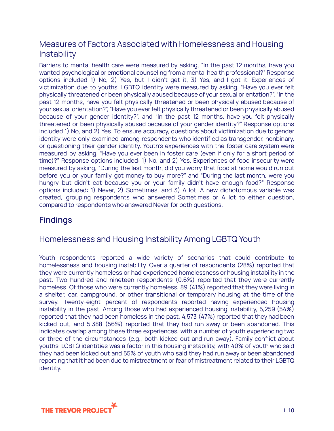## <span id="page-9-0"></span>Measures of Factors Associated with Homelessness and Housing **Instability**

Barriers to mental health care were measured by asking, "In the past 12 months, have you wanted psychological or emotional counseling from a mental health professional?" Response options included 1) No, 2) Yes, but I didn't get it, 3) Yes, and I got it. Experiences of victimization due to youths' LGBTQ identity were measured by asking, "Have you ever felt physically threatened or been physically abused because of your sexual orientation?", "In the past 12 months, have you felt physically threatened or been physically abused because of your sexual orientation?", "Have you ever felt physically threatened or been physically abused because of your gender identity?", and "In the past 12 months, have you felt physically threatened or been physically abused because of your gender identity?" Response options included 1) No, and 2) Yes. To ensure accuracy, questions about victimization due to gender identity were only examined among respondents who identified as transgender, nonbinary, or questioning their gender identity. Youth's experiences with the foster care system were measured by asking, "Have you ever been in foster care (even if only for a short period of time)?" Response options included: 1) No, and 2) Yes. Experiences of food insecurity were measured by asking, "During the last month, did you worry that food at home would run out before you or your family got money to buy more?" and "During the last month, were you hungry but didn't eat because you or your family didn't have enough food?" Response options included: 1) Never, 2) Sometimes, and 3) A lot. A new dichotomous variable was created, grouping respondents who answered Sometimes or A lot to either question, compared to respondents who answered Never for both questions.

## <span id="page-9-1"></span>**Findings**

## <span id="page-9-2"></span>Homelessness and Housing Instability Among LGBTQ Youth

Youth respondents reported a wide variety of scenarios that could contribute to homelessness and housing instability. Over a quarter of respondents (28%) reported that they were currently homeless or had experienced homelessness or housing instability in the past. Two hundred and nineteen respondents (0.6%) reported that they were currently homeless. Of those who were currently homeless, 89 (41%) reported that they were living in a shelter, car, campground, or other transitional or temporary housing at the time of the survey. Twenty-eight percent of respondents reported having experienced housing instability in the past. Among those who had experienced housing instability, 5,259 (54%) reported that they had been homeless in the past, 4,573 (47%) reported that they had been kicked out, and 5,388 (56%) reported that they had run away or been abandoned. This indicates overlap among these three experiences, with a number of youth experiencing two or three of the circumstances (e.g., both kicked out and run away). Family conflict about youths' LGBTQ identities was a factor in this housing instability, with 40% of youth who said they had been kicked out and 55% of youth who said they had run away or been abandoned reporting that it had been due to mistreatment or fear of mistreatment related to their LGBTQ identity.

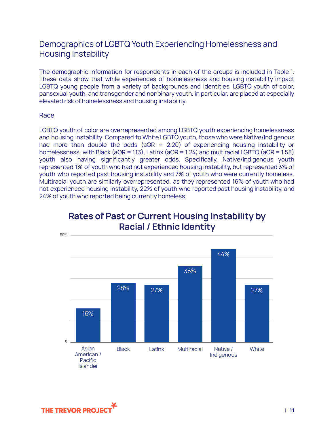## <span id="page-10-0"></span>Demographics of LGBTQ Youth Experiencing Homelessness and Housing Instability

The demographic information for respondents in each of the groups is included in Table 1. These data show that while experiences of homelessness and housing instability impact LGBTQ young people from a variety of backgrounds and identities, LGBTQ youth of color, pansexual youth, and transgender and nonbinary youth, in particular, are placed at especially elevated risk of homelessness and housing instability.

#### <span id="page-10-1"></span>Race

LGBTQ youth of color are overrepresented among LGBTQ youth experiencing homelessness and housing instability. Compared to White LGBTQ youth, those who were Native/Indigenous had more than double the odds (aOR = 2.20) of experiencing housing instability or homelessness, with Black (aOR = 1.13), Latinx (aOR = 1.24) and multiracial LGBTQ (aOR = 1.58) youth also having significantly greater odds. Specifically, Native/Indigenous youth represented 1% of youth who had not experienced housing instability, but represented 3% of youth who reported past housing instability and 7% of youth who were currently homeless. Multiracial youth are similarly overrepresented, as they represented 16% of youth who had not experienced housing instability, 22% of youth who reported past housing instability, and 24% of youth who reported being currently homeless.



## **Rates of Past or Current Housing Instability by Racial / Ethnic Identity**

<span id="page-10-2"></span>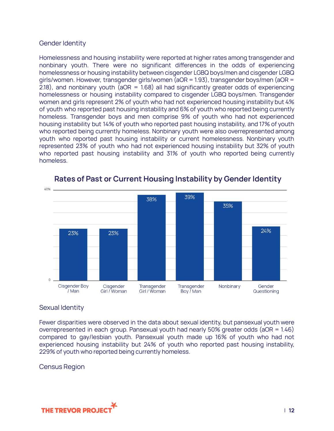#### Gender Identity

Homelessness and housing instability were reported at higher rates among transgender and nonbinary youth. There were no significant differences in the odds of experiencing homelessness or housing instability between cisgender LGBQ boys/men and cisgender LGBQ girls/women. However, transgender girls/women (aOR = 1.93), transgender boys/men (aOR = 2.18), and nonbinary youth ( $aOR = 1.68$ ) all had significantly greater odds of experiencing homelessness or housing instability compared to cisgender LGBQ boys/men. Transgender women and girls represent 2% of youth who had not experienced housing instability but 4% of youth who reported past housing instability and 6% of youth who reported being currently homeless. Transgender boys and men comprise 9% of youth who had not experienced housing instability but 14% of youth who reported past housing instability, and 17% of youth who reported being currently homeless. Nonbinary youth were also overrepresented among youth who reported past housing instability or current homelessness. Nonbinary youth represented 23% of youth who had not experienced housing instability but 32% of youth who reported past housing instability and 31% of youth who reported being currently homeless.



#### Rates of Past or Current Housing Instability by Gender Identity

#### <span id="page-11-0"></span>Sexual Identity

Fewer disparities were observed in the data about sexual identity, but pansexual youth were overrepresented in each group. Pansexual youth had nearly 50% greater odds (aOR = 1.46) compared to gay/lesbian youth. Pansexual youth made up 16% of youth who had not experienced housing instability but 24% of youth who reported past housing instability, 229% of youth who reported being currently homeless.

<span id="page-11-1"></span>Census Region

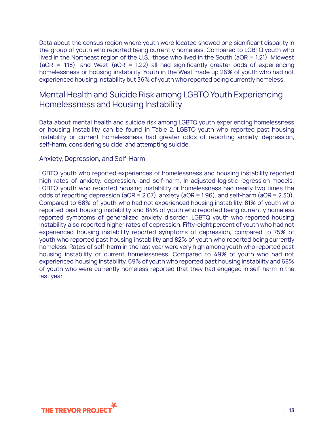Data about the census region where youth were located showed one significant disparity in the group of youth who reported being currently homeless. Compared to LGBTQ youth who lived in the Northeast region of the U.S., those who lived in the South (aOR = 1.21), Midwest ( $aOR = 1.18$ ), and West ( $aOR = 1.22$ ) all had significantly greater odds of experiencing homelessness or housing instability. Youth in the West made up 26% of youth who had not experienced housing instability but 36% of youth who reported being currently homeless.

## <span id="page-12-0"></span>Mental Health and Suicide Risk among LGBTQ Youth Experiencing Homelessness and Housing Instability

Data about mental health and suicide risk among LGBTQ youth experiencing homelessness or housing instability can be found in Table 2. LGBTQ youth who reported past housing instability or current homelessness had greater odds of reporting anxiety, depression, self-harm, considering suicide, and attempting suicide.

#### <span id="page-12-1"></span>Anxiety, Depression, and Self-Harm

LGBTQ youth who reported experiences of homelessness and housing instability reported high rates of anxiety, depression, and self-harm. In adjusted logistic regression models, LGBTQ youth who reported housing instability or homelessness had nearly two times the odds of reporting depression (aOR = 2.07), anxiety (aOR = 1.96), and self-harm (aOR = 2.30). Compared to 68% of youth who had not experienced housing instability, 81% of youth who reported past housing instability and 84% of youth who reported being currently homeless reported symptoms of generalized anxiety disorder. LGBTQ youth who reported housing instability also reported higher rates of depression. Fifty-eight percent of youth who had not experienced housing instability reported symptoms of depression, compared to 75% of youth who reported past housing instability and 82% of youth who reported being currently homeless. Rates of self-harm in the last year were very high among youth who reported past housing instability or current homelessness. Compared to 49% of youth who had not experienced housing instability, 69% of youth who reported past housing instability and 68% of youth who were currently homeless reported that they had engaged in self-harm in the last year.

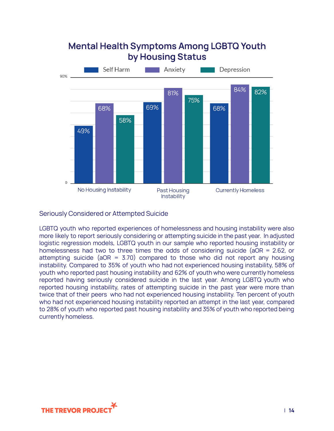

## **Mental Health Symptoms Among LGBTQ Youth** by Housing Status

#### <span id="page-13-0"></span>Seriously Considered or Attempted Suicide

LGBTQ youth who reported experiences of homelessness and housing instability were also more likely to report seriously considering or attempting suicide in the past year. In adjusted logistic regression models, LGBTQ youth in our sample who reported housing instability or homelessness had two to three times the odds of considering suicide (aOR = 2.62, or attempting suicide (aOR = 3.70) compared to those who did not report any housing instability. Compared to 35% of youth who had not experienced housing instability, 58% of youth who reported past housing instability and 62% of youth who were currently homeless reported having seriously considered suicide in the last year. Among LGBTQ youth who reported housing instability, rates of attempting suicide in the past year were more than twice that of their peers who had not experienced housing instability. Ten percent of youth who had not experienced housing instability reported an attempt in the last year, compared to 28% of youth who reported past housing instability and 35% of youth who reported being currently homeless.

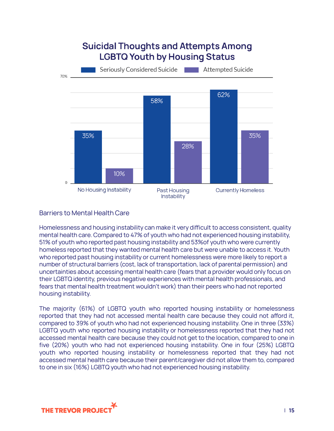

#### <span id="page-14-0"></span>Barriers to Mental Health Care

Homelessness and housing instability can make it very difficult to access consistent, quality mental health care. Compared to 47% of youth who had not experienced housing instability, 51% of youth who reported past housing instability and 53%of youth who were currently homeless reported that they wanted mental health care but were unable to access it. Youth who reported past housing instability or current homelessness were more likely to report a number of structural barriers (cost, lack of transportation, lack of parental permission) and uncertainties about accessing mental health care (fears that a provider would only focus on their LGBTQ identity, previous negative experiences with mental health professionals, and fears that mental health treatment wouldn't work) than their peers who had not reported housing instability.

The majority (61%) of LGBTQ youth who reported housing instability or homelessness reported that they had not accessed mental health care because they could not afford it, compared to 39% of youth who had not experienced housing instability. One in three (33%) LGBTQ youth who reported housing instability or homelessness reported that they had not accessed mental health care because they could not get to the location, compared to one in five (20%) youth who had not experienced housing instability. One in four (25%) LGBTQ youth who reported housing instability or homelessness reported that they had not accessed mental health care because their parent/caregiver did not allow them to, compared to one in six (16%) LGBTQ youth who had not experienced housing instability.

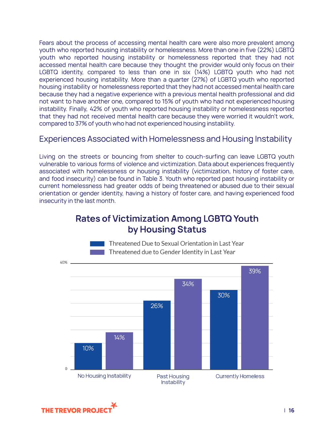Fears about the process of accessing mental health care were also more prevalent among youth who reported housing instability or homelessness. More than one in five (22%) LGBTQ youth who reported housing instability or homelessness reported that they had not accessed mental health care because they thought the provider would only focus on their LGBTQ identity, compared to less than one in six (14%) LGBTQ youth who had not experienced housing instability. More than a quarter (27%) of LGBTQ youth who reported housing instability or homelessness reported that they had not accessed mental health care because they had a negative experience with a previous mental health professional and did not want to have another one, compared to 15% of youth who had not experienced housing instability. Finally, 42% of youth who reported housing instability or homelessness reported that they had not received mental health care because they were worried it wouldn't work, compared to 37% of youth who had not experienced housing instability.

### <span id="page-15-0"></span>Experiences Associated with Homelessness and Housing Instability

Living on the streets or bouncing from shelter to couch-surfing can leave LGBTQ youth vulnerable to various forms of violence and victimization. Data about experiences frequently associated with homelessness or housing instability (victimization, history of foster care, and food insecurity) can be found in Table 3. Youth who reported past housing instability or current homelessness had greater odds of being threatened or abused due to their sexual orientation or gender identity, having a history of foster care, and having experienced food insecurity in the last month.

## **Rates of Victimization Among LGBTQ Youth** by Housing Status



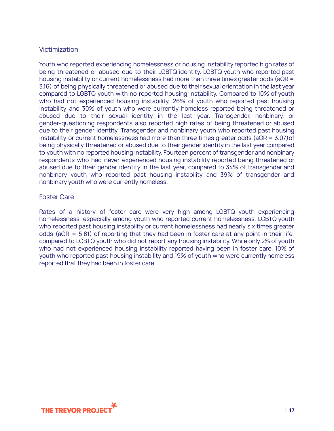#### <span id="page-16-0"></span>Victimization

Youth who reported experiencing homelessness or housing instability reported high rates of being threatened or abused due to their LGBTQ identity. LGBTQ youth who reported past housing instability or current homelessness had more than three times greater odds (aOR = 3.16) of being physically threatened or abused due to their sexual orientation in the last year compared to LGBTQ youth with no reported housing instability. Compared to 10% of youth who had not experienced housing instability, 26% of youth who reported past housing instability and 30% of youth who were currently homeless reported being threatened or abused due to their sexual identity in the last year. Transgender, nonbinary, or gender-questioning respondents also reported high rates of being threatened or abused due to their gender identity. Transgender and nonbinary youth who reported past housing instability or current homelessness had more than three times greater odds ( $aOR = 3.07$ ) of being physically threatened or abused due to their gender identity in the last year compared to youth with no reported housing instability. Fourteen percent of transgender and nonbinary respondents who had never experienced housing instability reported being threatened or abused due to their gender identity in the last year, compared to 34% of transgender and nonbinary youth who reported past housing instability and 39% of transgender and nonbinary youth who were currently homeless.

#### <span id="page-16-1"></span>Foster Care

Rates of a history of foster care were very high among LGBTQ youth experiencing homelessness, especially among youth who reported current homelessness. LGBTQ youth who reported past housing instability or current homelessness had nearly six times greater odds ( $aOR = 5.81$ ) of reporting that they had been in foster care at any point in their life, compared to LGBTQ youth who did not report any housing instability. While only 2% of youth who had not experienced housing instability reported having been in foster care, 10% of youth who reported past housing instability and 19% of youth who were currently homeless reported that they had been in foster care.

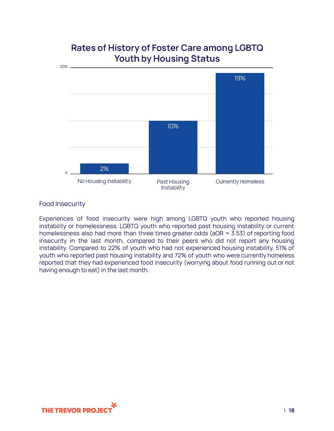

## Rates of History of Foster Care among LGBTQ Youth by Housing Status

#### <span id="page-17-0"></span>Food Insecurity

Experiences of food insecurity were high among LGBTQ youth who reported housing instability or homelessness. LGBTQ youth who reported past housing instability or current homelessness also had more than three times greater odds (aOR = 3.53) of reporting food insecurity in the last month, compared to their peers who did not report any housing instability. Compared to 22% of youth who had not experienced housing instability, 51% of youth who reported past housing instability and 72% of youth who were currently homeless reported that they had experienced food insecurity (worrying about food running out or not having enough to eat) in the last month.

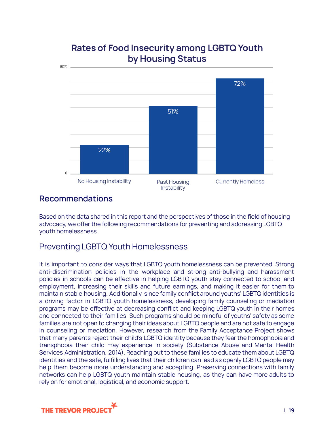

## **Rates of Food Insecurity among LGBTQ Youth** by Housing Status

## <span id="page-18-0"></span>**Recommendations**

Based on the data shared in this report and the perspectives of those in the field of housing advocacy, we offer the following recommendations for preventing and addressing LGBTQ youth homelessness.

## <span id="page-18-1"></span>Preventing LGBTQ Youth Homelessness

It is important to consider ways that LGBTQ youth homelessness can be prevented. Strong anti-discrimination policies in the workplace and strong anti-bullying and harassment policies in schools can be effective in helping LGBTQ youth stay connected to school and employment, increasing their skills and future earnings, and making it easier for them to maintain stable housing. Additionally, since family conflict around youths' LGBTQ identities is a driving factor in LGBTQ youth homelessness, developing family counseling or mediation programs may be effective at decreasing conflict and keeping LGBTQ youth in their homes and connected to their families. Such programs should be mindful of youths' safety as some families are not open to changing their ideas about LGBTQ people and are not safe to engage in counseling or mediation. However, research from the Family Acceptance Project shows that many parents reject their child's LGBTQ identity because they fear the homophobia and transphobia their child may experience in society (Substance Abuse and Mental Health Services Administration, 2014). Reaching out to these families to educate them about LGBTQ identities and the safe, fulfilling lives that their children can lead as openly LGBTQ people may help them become more understanding and accepting. Preserving connections with family networks can help LGBTQ youth maintain stable housing, as they can have more adults to rely on for emotional, logistical, and economic support.

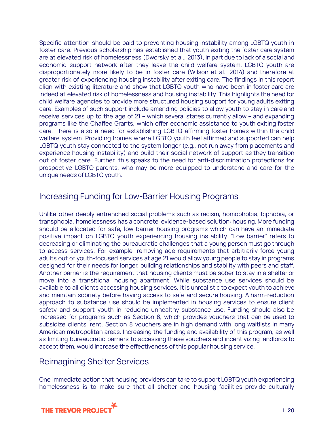Specific attention should be paid to preventing housing instability among LGBTQ youth in foster care. Previous scholarship has established that youth exiting the foster care system are at elevated risk of homelessness (Dworsky et al., 2013), in part due to lack of a social and economic support network after they leave the child welfare system. LGBTQ youth are disproportionately more likely to be in foster care (Wilson et al., 2014) and therefore at greater risk of experiencing housing instability after exiting care. The findings in this report align with existing literature and show that LGBTQ youth who have been in foster care are indeed at elevated risk of homelessness and housing instability. This highlights the need for child welfare agencies to provide more structured housing support for young adults exiting care. Examples of such support include amending policies to allow youth to stay in care and receive services up to the age of 21 – which several states currently allow – and expanding programs like the Chaffee Grants, which offer economic assistance to youth exiting foster care. There is also a need for establishing LGBTQ-affirming foster homes within the child welfare system. Providing homes where LGBTQ youth feel affirmed and supported can help LGBTQ youth stay connected to the system longer (e.g., not run away from placements and experience housing instability) and build their social network of support as they transition out of foster care. Further, this speaks to the need for anti-discrimination protections for prospective LGBTQ parents, who may be more equipped to understand and care for the unique needs of LGBTQ youth.

### <span id="page-19-0"></span>Increasing Funding for Low-Barrier Housing Programs

Unlike other deeply entrenched social problems such as racism, homophobia, biphobia, or transphobia, homelessness has a concrete, evidence-based solution: housing. More funding should be allocated for safe, low-barrier housing programs which can have an immediate positive impact on LGBTQ youth experiencing housing instability. "Low barrier" refers to decreasing or eliminating the bureaucratic challenges that a young person must go through to access services. For example, removing age requirements that arbitrarily force young adults out of youth-focused services at age 21 would allow young people to stay in programs designed for their needs for longer, building relationships and stability with peers and staff. Another barrier is the requirement that housing clients must be sober to stay in a shelter or move into a transitional housing apartment. While substance use services should be available to all clients accessing housing services, it is unrealistic to expect youth to achieve and maintain sobriety before having access to safe and secure housing. A harm-reduction approach to substance use should be implemented in housing services to ensure client safety and support youth in reducing unhealthy substance use. Funding should also be increased for programs such as Section 8, which provides vouchers that can be used to subsidize clients' rent. Section 8 vouchers are in high demand with long waitlists in many American metropolitan areas. Increasing the funding and availability of this program, as well as limiting bureaucratic barriers to accessing these vouchers and incentivizing landlords to accept them, would increase the effectiveness of this popular housing service.

### <span id="page-19-1"></span>Reimagining Shelter Services

One immediate action that housing providers can take to support LGBTQ youth experiencing homelessness is to make sure that all shelter and housing facilities provide culturally

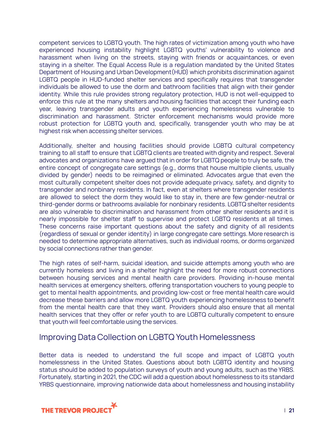competent services to LGBTQ youth. The high rates of victimization among youth who have experienced housing instability highlight LGBTQ youths' vulnerability to violence and harassment when living on the streets, staying with friends or acquaintances, or even staying in a shelter. The Equal Access Rule is a regulation mandated by the United States Department of Housing and Urban Development(HUD) which prohibits discrimination against LGBTQ people in HUD-funded shelter services and specifically requires that transgender individuals be allowed to use the dorm and bathroom facilities that align with their gender identity. While this rule provides strong regulatory protection, HUD is not well-equipped to enforce this rule at the many shelters and housing facilities that accept their funding each year, leaving transgender adults and youth experiencing homelessness vulnerable to discrimination and harassment. Stricter enforcement mechanisms would provide more robust protection for LGBTQ youth and, specifically, transgender youth who may be at highest risk when accessing shelter services.

Additionally, shelter and housing facilities should provide LGBTQ cultural competency training to all staff to ensure that LGBTQ clients are treated with dignity and respect. Several advocates and organizations have argued that in order for LGBTQ people to truly be safe, the entire concept of congregate care settings (e.g., dorms that house multiple clients, usually divided by gender) needs to be reimagined or eliminated. Advocates argue that even the most culturally competent shelter does not provide adequate privacy, safety, and dignity to transgender and nonbinary residents. In fact, even at shelters where transgender residents are allowed to select the dorm they would like to stay in, there are few gender-neutral or third-gender dorms or bathrooms available for nonbinary residents. LGBTQ shelter residents are also vulnerable to discrimination and harassment from other shelter residents and it is nearly impossible for shelter staff to supervise and protect LGBTQ residents at all times. These concerns raise important questions about the safety and dignity of all residents (regardless of sexual or gender identity) in large congregate care settings. More research is needed to determine appropriate alternatives, such as individual rooms, or dorms organized by social connections rather than gender.

The high rates of self-harm, suicidal ideation, and suicide attempts among youth who are currently homeless and living in a shelter highlight the need for more robust connections between housing services and mental health care providers. Providing in-house mental health services at emergency shelters, offering transportation vouchers to young people to get to mental health appointments, and providing low-cost or free mental health care would decrease these barriers and allow more LGBTQ youth experiencing homelessness to benefit from the mental health care that they want. Providers should also ensure that all mental health services that they offer or refer youth to are LGBTQ culturally competent to ensure that youth will feel comfortable using the services.

### <span id="page-20-0"></span>Improving Data Collection on LGBTQ Youth Homelessness

Better data is needed to understand the full scope and impact of LGBTQ youth homelessness in the United States. Questions about both LGBTQ identity and housing status should be added to population surveys of youth and young adults, such as the YRBS. Fortunately, starting in 2021, the CDC will add a question about homelessness to its standard YRBS questionnaire, improving nationwide data about homelessness and housing instability

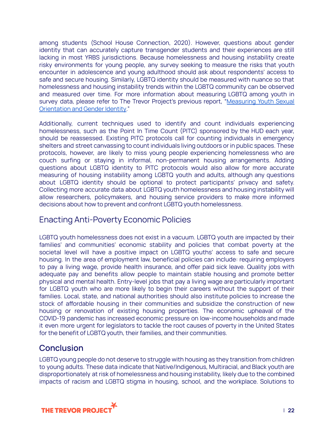among students (School House Connection, 2020). However, questions about gender identity that can accurately capture transgender students and their experiences are still lacking in most YRBS jurisdictions. Because homelessness and housing instability create risky environments for young people, any survey seeking to measure the risks that youth encounter in adolescence and young adulthood should ask about respondents' access to safe and secure housing. Similarly, LGBTQ identity should be measured with nuance so that homelessness and housing instability trends within the LGBTQ community can be observed and measured over time. For more information about measuring LGBTQ among youth in survey data, please refer to The Trevor Project's previous report, "[Measuring](https://www.thetrevorproject.org/wp-content/uploads/2021/07/Measuring-Youth-Sexual-Orientation-and-Gender-Identity.pdf) Youth Sexual [Orientation](https://www.thetrevorproject.org/wp-content/uploads/2021/07/Measuring-Youth-Sexual-Orientation-and-Gender-Identity.pdf) and Gender Identity."

Additionally, current techniques used to identify and count individuals experiencing homelessness, such as the Point In Time Count (PITC) sponsored by the HUD each year, should be reassessed. Existing PITC protocols call for counting individuals in emergency shelters and street canvassing to count individuals living outdoors or in public spaces. These protocols, however, are likely to miss young people experiencing homelessness who are couch surfing or staying in informal, non-permanent housing arrangements. Adding questions about LGBTQ identity to PITC protocols would also allow for more accurate measuring of housing instability among LGBTQ youth and adults, although any questions about LGBTQ identity should be optional to protect participants' privacy and safety. Collecting more accurate data about LGBTQ youth homelessness and housing instability will allow researchers, policymakers, and housing service providers to make more informed decisions about how to prevent and confront LGBTQ youth homelessness.

## <span id="page-21-0"></span>Enacting Anti-Poverty Economic Policies

LGBTQ youth homelessness does not exist in a vacuum. LGBTQ youth are impacted by their families' and communities' economic stability and policies that combat poverty at the societal level will have a positive impact on LGBTQ youths' access to safe and secure housing. In the area of employment law, beneficial policies can include: requiring employers to pay a living wage, provide health insurance, and offer paid sick leave. Quality jobs with adequate pay and benefits allow people to maintain stable housing and promote better physical and mental health. Entry-level jobs that pay a living wage are particularly important for LGBTQ youth who are more likely to begin their careers without the support of their families. Local, state, and national authorities should also institute policies to increase the stock of affordable housing in their communities and subsidize the construction of new housing or renovation of existing housing properties. The economic upheaval of the COVID-19 pandemic has increased economic pressure on low-income households and made it even more urgent for legislators to tackle the root causes of poverty in the United States for the benefit of LGBTQ youth, their families, and their communities.

## <span id="page-21-1"></span>**Conclusion**

LGBTQ young people do not deserve to struggle with housing as they transition from children to young adults. These data indicate that Native/Indigenous, Multiracial, and Black youth are disproportionately at risk of homelessness and housing instability, likely due to the combined impacts of racism and LGBTQ stigma in housing, school, and the workplace. Solutions to

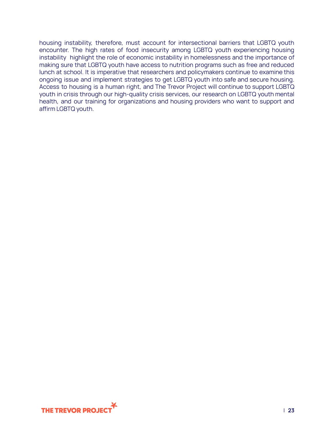housing instability, therefore, must account for intersectional barriers that LGBTQ youth encounter. The high rates of food insecurity among LGBTQ youth experiencing housing instability highlight the role of economic instability in homelessness and the importance of making sure that LGBTQ youth have access to nutrition programs such as free and reduced lunch at school. It is imperative that researchers and policymakers continue to examine this ongoing issue and implement strategies to get LGBTQ youth into safe and secure housing. Access to housing is a human right, and The Trevor Project will continue to support LGBTQ youth in crisis through our high-quality crisis services, our research on LGBTQ youth mental health, and our training for organizations and housing providers who want to support and affirm LGBTQ youth.

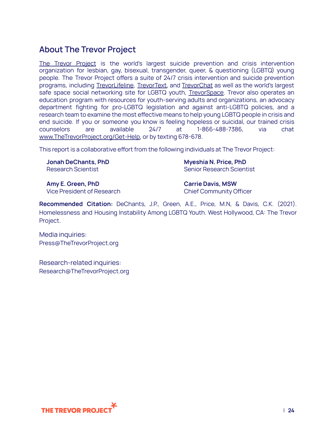## <span id="page-23-0"></span>**About The Trevor Project**

The Trevor [Project](https://www.thetrevorproject.org/) is the world's largest suicide prevention and crisis intervention organization for lesbian, gay, bisexual, transgender, queer, & questioning (LGBTQ) young people. The Trevor Project offers a suite of 24/7 crisis intervention and suicide prevention programs, including [TrevorLifeline](https://www.thetrevorproject.org/help), [TrevorText,](https://www.thetrevorproject.org/help) and [TrevorChat](https://www.thetrevorproject.org/help) as well as the world's largest safe space social networking site for LGBTQ youth, [TrevorSpace](http://www.trevorspace.org/). Trevor also operates an education program with resources for youth-serving adults and organizations, an advocacy department fighting for pro-LGBTQ legislation and against anti-LGBTQ policies, and a research team to examine the most effective means to help young LGBTQ people in crisis and end suicide. If you or someone you know is feeling hopeless or suicidal, our trained crisis counselors are available 24/7 at 1-866-488-7386, via chat [www.TheTrevorProject.org/Get-Help,](https://www.thetrevorproject.org/help) or by texting 678-678.

This report is a collaborative effort from the following individuals at The Trevor Project:

**Jonah DeChants, PhD** Research Scientist

**Myeshia N. Price, PhD** Senior Research Scientist

**Amy E. Green, PhD** Vice President of Research **Carrie Davis, MSW** Chief Community Officer

**Recommended Citation:** DeChants, J.P., Green, A.E., Price, M.N, & Davis, C.K. (2021). Homelessness and Housing Instability Among LGBTQ Youth. West Hollywood, CA: The Trevor Project.

<span id="page-23-1"></span>Media inquiries: Press@TheTrevorProject.org

<span id="page-23-2"></span>Research-related inquiries: Research@TheTrevorProject.org

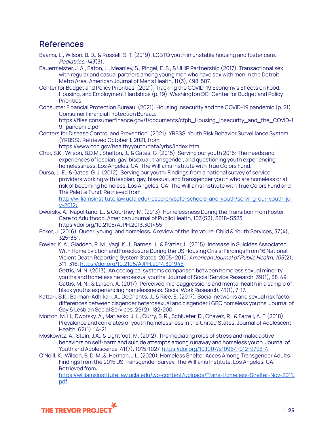## <span id="page-24-0"></span>**References**

- Baams, L., Wilson, B. D., & Russell, S. T. (2019). LGBTQ youth in unstable housing and foster care. Pediatrics, 143(3).
- Bauermeister, J. A., Eaton, L., Meanley, S., Pingel, E. S., & UHIP Partnership (2017). Transactional sex with regular and casual partners among young men who have sex with men in the Detroit Metro Area. American Journal of Men's Health, 11(3), 498-507.
- Center for Budget and Policy Priorities. (2021). Tracking the COVID-19 Economy's Effects on Food, Housing, and Employment Hardships (p. 19). Washington DC: Center for Budget and Policy Priorities.
- Consumer Financial Protection Bureau. (2021). Housing insecurity and the COVID-19 pandemic (p. 21). Consumer Financial Protection Bureau.

https://files.consumerfinance.gov/f/documents/cfpb\_Housing\_insecurity\_and\_the\_COVID-1 9\_pandemic.pdf

Centers for Disease Control and Prevention. (2021). YRBSS. Youth Risk Behavior Surveillance System (YRBSS). Retrieved October 1, 2021, from

https://www.cdc.gov/healthyyouth/data/yrbs/index.htm.

- Choi, S.K., Wilson, B.D.M., Shelton, J., & Gates, G. (2015). Serving our youth 2015: The needs and experiences of lesbian, gay, bisexual, transgender, and questioning youth experiencing homelessness. Los Angeles, CA: The Williams Institute with True Colors Fund.
- Durso, L. E., & Gates, G. J. (2012). Serving our youth: Findings from a national survey of service providers working with lesbian, gay, bisexual, and transgender youth who are homeless or at risk of becoming homeless. Los Angeles, CA: The Williams Institute with True Colors Fund and The Palette Fund. Retrieved from

[http://williamsinstitute.law.ucla.edu/research/safe-schools-and-youth/serving-our-youth-jul](http://williamsinstitute.law.ucla.edu/research/safe-schools-and-youth/serving-our-youth-july-2012/) [y-2012/.](http://williamsinstitute.law.ucla.edu/research/safe-schools-and-youth/serving-our-youth-july-2012/)

- Dworsky, A., Napolitano, L., & Courtney, M. (2013). Homelessness During the Transition From Foster Care to Adulthood. American Journal of Public Health, 103(S2), S318–S323. https://doi.org/10.2105/AJPH.2013.301455
- Ecker, J. (2016). Queer, young, and homeless: A review of the literature. Child & Youth Services, 37(4), 325-361.
- Fowler, K. A., Gladden, R. M., Vagi, K. J., Barnes, J., & Frazier, L. (2015). Increase in Suicides Associated With Home Eviction and Foreclosure During the US Housing Crisis: Findings From 16 National Violent Death Reporting System States, 2005–2010. American Journal of Public Health, 105(2), 311–316. <https://doi.org/10.2105/AJPH.2014.301945>

Gattis, M. N. (2013). An ecological systems comparison between homeless sexual minority youths and homeless heterosexual youths. Journal of Social Service Research, 39(1), 38-49. Gattis, M. N., & Larson, A. (2017). Perceived microaggressions and mental health in a sample of black youths experiencing homelessness. Social Work Research, 41(1), 7-17.

- Kattari, S.K., Barman-Adhikari, A., DeChants, J., & Rice, E. (2017). Social networks and sexual risk factor differences between cisgender heterosexual and cisgender LGBQ homeless youths. Journal of Gay & Lesbian Social Services, 29(2), 182-200.
- Morton, M. H., Dworsky, A., Matjasko, J. L., Curry, S. R., Schlueter, D., Chávez, R., & Farrell, A. F. (2018). Prevalence and correlates of youth homelessness in the United States. Journal of Adolescent Health, 62(1), 14-21.
- Moskowitz, A., Stein, J.A., & Lightfoot, M. (2012). The mediating roles of stress and maladaptive behaviors on self-harm and suicide attempts among runaway and homeless youth. Journal of Youth and Adolescence, 41(7), 1015-1027. [https://doi.org/10.1007/s10964-012-9793-4.](https://doi.org/10.1007/s10964-012-9793-4)
- O'Neill, K., Wilson, B. D. M.,& Herman, J.L. (2020). Homeless Shelter Acces Among Transgender Adults: Findings from the 2015 US Transgender Survey. The Williams Institute. Los Angeles, CA. Retrieved from:

[https://williamsinstitute.law.ucla.edu/wp-content/uploads/Trans-Homeless-Shelter-Nov-2011.](https://williamsinstitute.law.ucla.edu/wp-content/uploads/Trans-Homeless-Shelter-Nov-2011.pdf) [pdf](https://williamsinstitute.law.ucla.edu/wp-content/uploads/Trans-Homeless-Shelter-Nov-2011.pdf)

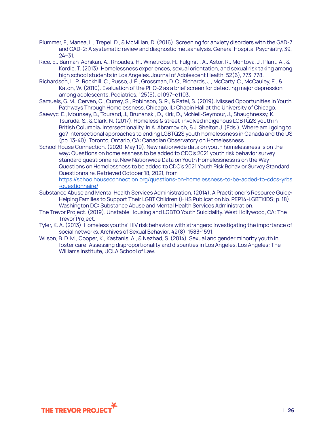- Plummer, F., Manea, L., Trepel, D., & McMillan, D. (2016). Screening for anxiety disorders with the GAD-7 and GAD-2: A systematic review and diagnostic metaanalysis. General Hospital Psychiatry, 39, 24–31.
- Rice, E., Barman-Adhikari, A., Rhoades, H., Winetrobe, H., Fulginiti, A., Astor, R., Montoya, J., Plant, A., & Kordic, T. (2013). Homelessness experiences, sexual orientation, and sexual risk taking among high school students in Los Angeles. Journal of Adolescent Health, 52(6), 773-778.
- Richardson, L. P., Rockhill, C., Russo, J. E., Grossman, D. C., Richards, J., McCarty, C., McCauley, E., & Katon, W. (2010). Evaluation of the PHQ-2 as a brief screen for detecting major depression among adolescents. Pediatrics, 125(5), e1097–e1103.
- Samuels, G. M., Cerven, C., Currey, S., Robinson, S. R., & Patel, S. (2019). Missed Opportunities in Youth Pathways Through Homelessness. Chicago, IL: Chapin Hall at the University of Chicago.
- Saewyc, E., Mounsey, B., Tourand, J., Brunanski, D., Kirk, D., McNeil-Seymour, J., Shaughnessy, K., Tsuruda, S., & Clark, N. (2017). Homeless & street-involved indigenous LGBTQ2S youth in British Columbia: Intersectionality. In A. Abramovich, & J. Shelton J. (Eds.), Where am I going to go? Intersectional approaches to ending LGBTQ2S youth homelessness in Canada and the US (pp. 13-40). Toronto, Ontario, CA: Canadian Observatory on Homelessness.
- School House Connection. (2020, May 19). New nationwide data on youth homelessness is on the way: Questions on homelessness to be added to CDC's 2021 youth risk behavior survey standard questionnaire. New Nationwide Data on Youth Homelessness is on the Way: Questions on Homelessness to be added to CDC's 2021 Youth Risk Behavior Survey Standard Questionnaire. Retrieved October 18, 2021, from

[https://schoolhouseconnection.org/questions-on-homelessness-to-be-added-to-cdcs-yrbs](https://schoolhouseconnection.org/questions-on-homelessness-to-be-added-to-cdcs-yrbs-questionnaire/) [-questionnaire/](https://schoolhouseconnection.org/questions-on-homelessness-to-be-added-to-cdcs-yrbs-questionnaire/)

- Substance Abuse and Mental Health Services Administration. (2014). A Practitioner's Resource Guide: Helping Families to Support Their LGBT Children (HHS Publication No. PEP14-LGBTKIDS; p. 18). Washington DC: Substance Abuse and Mental Health Services Administration.
- The Trevor Project. (2019). Unstable Housing and LGBTQ Youth Suicidality. West Hollywood, CA: The Trevor Project.
- Tyler, K. A. (2013). Homeless youths' HIV risk behaviors with strangers: Investigating the importance of social networks. Archives of Sexual Behavior, 42(8), 1583-1591.
- Wilson, B. D. M., Cooper, K., Kastanis, A., & Nezhad, S. (2014). Sexual and gender minority youth in foster care: Assessing disproportionality and disparities in Los Angeles. Los Angeles: The Williams Institute, UCLA School of Law.

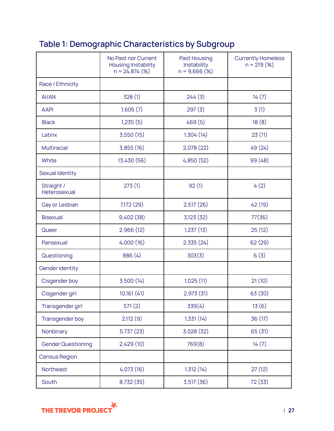## <span id="page-26-0"></span>**Table 1: Demographic Characteristics by Subgroup**

|                            | No Past nor Current<br>Housing Instability<br>$n = 24,874$ (%) | Past Housing<br>Instability<br>$n = 9,666$ (%) | <b>Currently Homeless</b><br>$n = 219 (%)$ |
|----------------------------|----------------------------------------------------------------|------------------------------------------------|--------------------------------------------|
| Race / Ethnicity           |                                                                |                                                |                                            |
| AI/AN                      | 328(1)                                                         | 244(3)                                         | 14(7)                                      |
| <b>AAPI</b>                | 1,605(7)                                                       | 297(3)                                         | 3(1)                                       |
| <b>Black</b>               | 1,235(5)                                                       | 469(5)                                         | 18(8)                                      |
| Latinx                     | 3,550(15)                                                      | 1,304(14)                                      | 23(11)                                     |
| <b>Multiracial</b>         | 3,855(16)                                                      | 2,078(22)                                      | 49 (24)                                    |
| White                      | 13,430 (56)                                                    | 4,850 (52)                                     | 99 (48)                                    |
| Sexual Identity            |                                                                |                                                |                                            |
| Straight /<br>Heterosexual | 273(1)                                                         | 92(1)                                          | 4(2)                                       |
| Gay or Lesbian             | 7,172 (29)                                                     | 2,517(26)                                      | 42 (19)                                    |
| <b>Bisexual</b>            | 9,402(38)                                                      | 3,123(32)                                      | 77(36)                                     |
| Queer                      | 2,966(12)                                                      | 1,237(13)                                      | 25(12)                                     |
| Pansexual                  | 4,000(16)                                                      | 2,335(24)                                      | 62 (29)                                    |
| Questioning                | 886 (4)                                                        | 303(3)                                         | 6(3)                                       |
| Gender Identity            |                                                                |                                                |                                            |
| Cisgender boy              | 3,500(14)                                                      | 1,025(11)                                      | 21(10)                                     |
| Cisgender girl             | 10,161 (41)                                                    | 2,973 (31)                                     | 63 (30)                                    |
| Transgender girl           | 571(2)                                                         | 339(4)                                         | 13(6)                                      |
| Transgender boy            | 2,112(9)                                                       | 1,331(14)                                      | 36 (17)                                    |
| Nonbinary                  | 5,737(23)                                                      | 3,028 (32)                                     | 65 (31)                                    |
| <b>Gender Questioning</b>  | 2,429(10)                                                      | 769(8)                                         | 14(7)                                      |
| Census Region              |                                                                |                                                |                                            |
| Northeast                  | 4,073(16)                                                      | 1,312(14)                                      | 27(12)                                     |
| South                      | 8,732 (35)                                                     | 3,517(36)                                      | 72 (33)                                    |

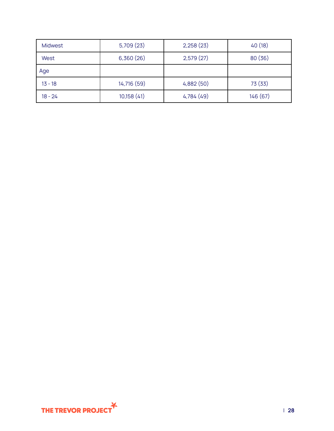| Midwest   | 5,709(23)   | 2,258(23)  | 40(18)   |
|-----------|-------------|------------|----------|
| West      | 6,360(26)   | 2,579(27)  | 80(36)   |
| Age       |             |            |          |
| $13 - 18$ | 14,716 (59) | 4,882(50)  | 73 (33)  |
| $18 - 24$ | 10,158(41)  | 4,784 (49) | 146 (67) |

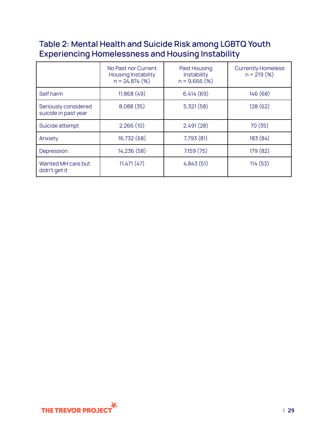## <span id="page-28-0"></span>**Table 2: Mental Health and Suicide Risk among LGBTQ Youth Experiencing Homelessness and Housing Instability**

|                                              | No Past nor Current<br><b>Housing Instability</b><br>$n = 24,874$ (%) | Past Housing<br>Instability<br>$n = 9,666$ (%) | <b>Currently Homeless</b><br>$n = 219(%)$ |
|----------------------------------------------|-----------------------------------------------------------------------|------------------------------------------------|-------------------------------------------|
| Self harm                                    | 11,868 (49)                                                           | 6,414(69)                                      | 146 (68)                                  |
| Seriously considered<br>suicide in past year | 8,088(35)                                                             | 5,321(58)                                      | 128 (62)                                  |
| Suicide attempt                              | 2,266(10)                                                             | 2,491(28)                                      | 70 (35)                                   |
| Anxiety                                      | 16,732 (68)                                                           | 7,793 (81)                                     | 183 (84)                                  |
| Depression                                   | 14,236 (58)                                                           | 7,159 (75)                                     | 179 (82)                                  |
| Wanted MH care but<br>didn't get it          | 11,471(47)                                                            | 4,843(51)                                      | 114 (53)                                  |